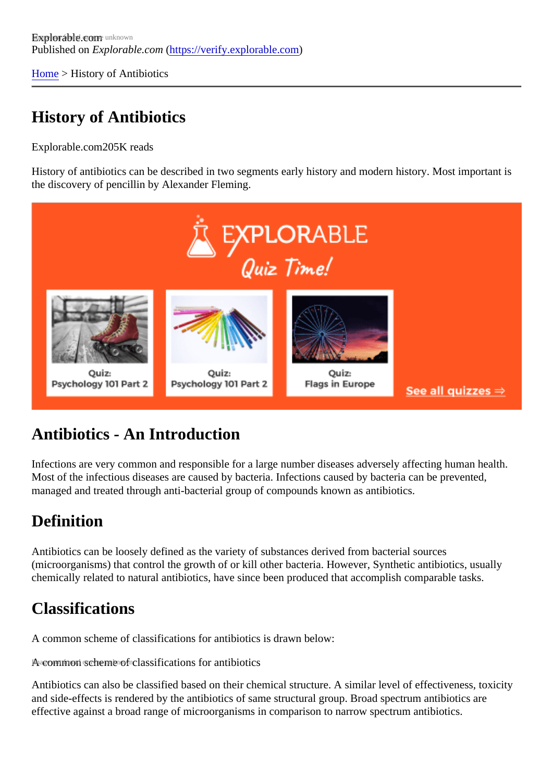[Home](https://verify.explorable.com/) > History of Antibiotics

## History of Antibiotics

Explorable.com205K reads

History of antibiotics can be described in two segments early history and modern history. Most important is the discovery of pencillin by Alexander Fleming.

## Antibiotics - An Introduction

Infections are very common and responsible for a large number diseases adversely affecting human health. Most of the infectious diseases are caused by bacteria. Infections caused by bacteria can be prevented, managed and treated through anti-bacterial group of compounds known as antibiotics.

## **Definition**

Antibiotics can be loosely defined as the variety of substances derived from bacterial sources (microorganisms) that control the growth of or kill other bacteria. However, Synthetic antibiotics, usually chemically related to natural antibiotics, have since been produced that accomplish comparable tasks.

## Classifications

A common scheme of classifications for antibiotics is drawn below:

A common scheme of classifications for antibiotics

Antibiotics can also be classified based on their chemical structure. A similar level of effectiveness, toxicity and side-effects is rendered by the antibiotics of same structural group. Broad spectrum antibiotics are effective against a broad range of microorganisms in comparison to narrow spectrum antibiotics.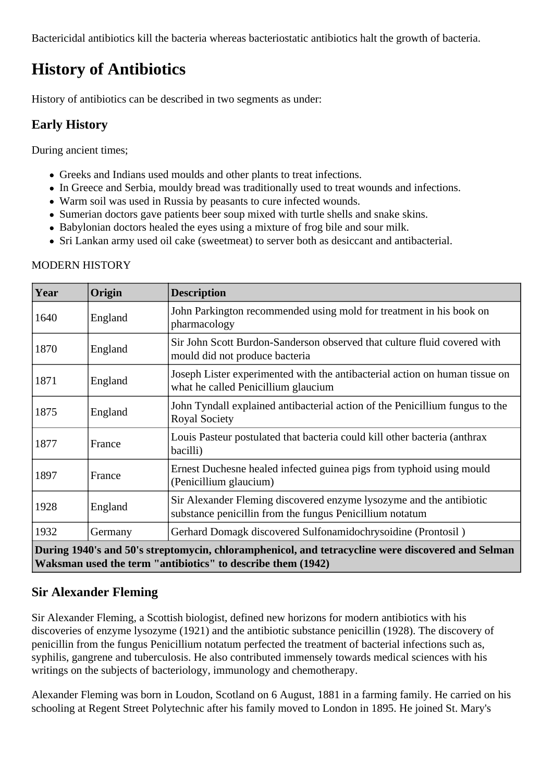Bactericidal antibiotics kill the bacteria whereas bacteriostatic antibiotics halt the growth of bacteria.

# **History of Antibiotics**

History of antibiotics can be described in two segments as under:

### **Early History**

During ancient times;

- Greeks and Indians used moulds and other plants to treat infections.
- In Greece and Serbia, mouldy bread was traditionally used to treat wounds and infections.
- Warm soil was used in Russia by peasants to cure infected wounds.
- Sumerian doctors gave patients beer soup mixed with turtle shells and snake skins.
- Babylonian doctors healed the eyes using a mixture of frog bile and sour milk.
- Sri Lankan army used oil cake (sweetmeat) to server both as desiccant and antibacterial.

#### MODERN HISTORY

| Year                                                                                                                                                             | Origin  | <b>Description</b>                                                                                                              |
|------------------------------------------------------------------------------------------------------------------------------------------------------------------|---------|---------------------------------------------------------------------------------------------------------------------------------|
| 1640                                                                                                                                                             | England | John Parkington recommended using mold for treatment in his book on<br>pharmacology                                             |
| 1870                                                                                                                                                             | England | Sir John Scott Burdon-Sanderson observed that culture fluid covered with<br>mould did not produce bacteria                      |
| 1871                                                                                                                                                             | England | Joseph Lister experimented with the antibacterial action on human tissue on<br>what he called Penicillium glaucium              |
| 1875                                                                                                                                                             | England | John Tyndall explained antibacterial action of the Penicillium fungus to the<br><b>Royal Society</b>                            |
| 1877                                                                                                                                                             | France  | Louis Pasteur postulated that bacteria could kill other bacteria (anthrax<br>bacilli)                                           |
| 1897                                                                                                                                                             | France  | Ernest Duchesne healed infected guinea pigs from typhoid using mould<br>(Penicillium glaucium)                                  |
| 1928                                                                                                                                                             | England | Sir Alexander Fleming discovered enzyme lysozyme and the antibiotic<br>substance penicillin from the fungus Penicillium notatum |
| 1932                                                                                                                                                             | Germany | Gerhard Domagk discovered Sulfonamidochrysoidine (Prontosil)                                                                    |
| During 1940's and 50's streptomycin, chloramphenicol, and tetracycline were discovered and Selman<br>Waksman used the term "antibiotics" to describe them (1942) |         |                                                                                                                                 |

### **Sir Alexander Fleming**

Sir Alexander Fleming, a Scottish biologist, defined new horizons for modern antibiotics with his discoveries of enzyme lysozyme (1921) and the antibiotic substance penicillin (1928). The discovery of penicillin from the fungus Penicillium notatum perfected the treatment of bacterial infections such as, syphilis, gangrene and tuberculosis. He also contributed immensely towards medical sciences with his writings on the subjects of bacteriology, immunology and chemotherapy.

Alexander Fleming was born in Loudon, Scotland on 6 August, 1881 in a farming family. He carried on his schooling at Regent Street Polytechnic after his family moved to London in 1895. He joined St. Mary's